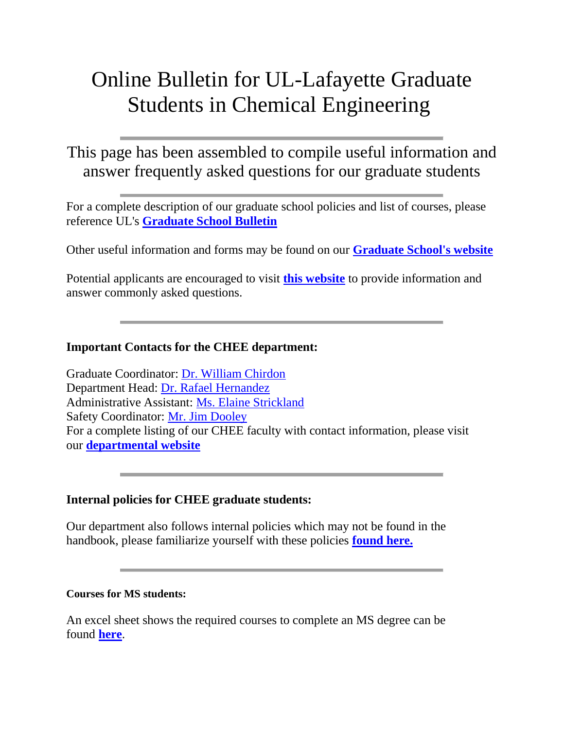# Online Bulletin for UL-Lafayette Graduate Students in Chemical Engineering

# This page has been assembled to compile useful information and answer frequently asked questions for our graduate students

For a complete description of our graduate school policies and list of courses, please reference UL's **[Graduate School Bulletin](http://academicaffairs.louisiana.edu/sites/academicaffairs/files/catalogs-Graduate2012-14.pdf)**

Other useful information and forms may be found on our **[Graduate School's website](http://gradschool.louisiana.edu/)**

Potential applicants are encouraged to visit **[this website](http://www.ucs.louisiana.edu/~wmc8199/gradinfo/applicant-info.html)** to provide information and answer commonly asked questions.

# **Important Contacts for the CHEE department:**

Graduate Coordinator: [Dr. William Chirdon](mailto:wchirdon@louisiana.edu) Department Head: [Dr. Rafael Hernandez](mailto:rah7653@louisiana.edu) Administrative Assistant: [Ms. Elaine Strickland](mailto:roxie@louisiana.edu) Safety Coordinator: [Mr. Jim Dooley](mailto:jdooley@louisiana.edu) For a complete listing of our CHEE faculty with contact information, please visit our **[departmental website](http://chemical.louisiana.edu/faculty.shtml)**

# **Internal policies for CHEE graduate students:**

Our department also follows internal policies which may not be found in the handbook, please familiarize yourself with these policies **[found here.](http://www.ucs.louisiana.edu/~wmc8199/gradinfo/gradpolicies.html)**

#### **Courses for MS students:**

An excel sheet shows the required courses to complete an MS degree can be found **[here](http://www.ucs.louisiana.edu/~wmc8199/gradinfo/mstemplate.xlsx)**.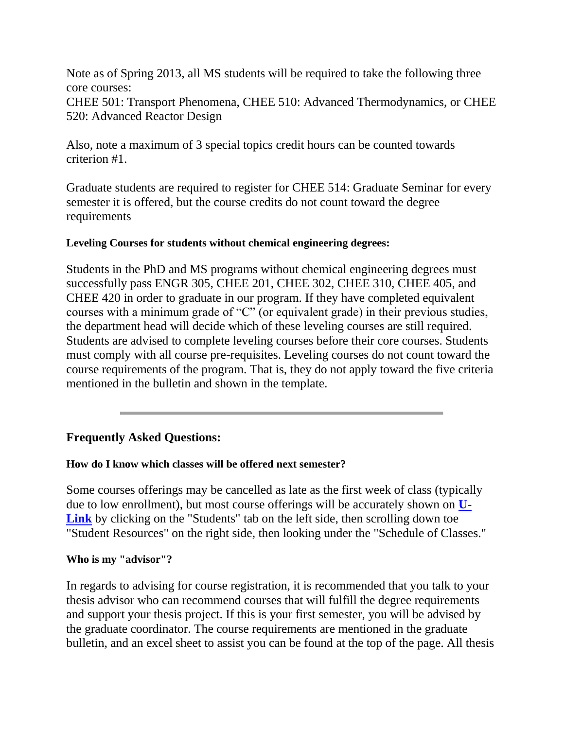Note as of Spring 2013, all MS students will be required to take the following three core courses: CHEE 501: Transport Phenomena, CHEE 510: Advanced Thermodynamics, or CHEE 520: Advanced Reactor Design

Also, note a maximum of 3 special topics credit hours can be counted towards criterion #1.

Graduate students are required to register for CHEE 514: Graduate Seminar for every semester it is offered, but the course credits do not count toward the degree requirements

### **Leveling Courses for students without chemical engineering degrees:**

Students in the PhD and MS programs without chemical engineering degrees must successfully pass ENGR 305, CHEE 201, CHEE 302, CHEE 310, CHEE 405, and CHEE 420 in order to graduate in our program. If they have completed equivalent courses with a minimum grade of "C" (or equivalent grade) in their previous studies, the department head will decide which of these leveling courses are still required. Students are advised to complete leveling courses before their core courses. Students must comply with all course pre-requisites. Leveling courses do not count toward the course requirements of the program. That is, they do not apply toward the five criteria mentioned in the bulletin and shown in the template.

# **Frequently Asked Questions:**

# **How do I know which classes will be offered next semester?**

Some courses offerings may be cancelled as late as the first week of class (typically due to low enrollment), but most course offerings will be accurately shown on **[U-](https://portal.louisiana.edu:8443/uPortal/)**[Link](https://portal.louisiana.edu:8443/uPortal/) by clicking on the "Students" tab on the left side, then scrolling down toe "Student Resources" on the right side, then looking under the "Schedule of Classes."

#### **Who is my "advisor"?**

In regards to advising for course registration, it is recommended that you talk to your thesis advisor who can recommend courses that will fulfill the degree requirements and support your thesis project. If this is your first semester, you will be advised by the graduate coordinator. The course requirements are mentioned in the graduate bulletin, and an excel sheet to assist you can be found at the top of the page. All thesis